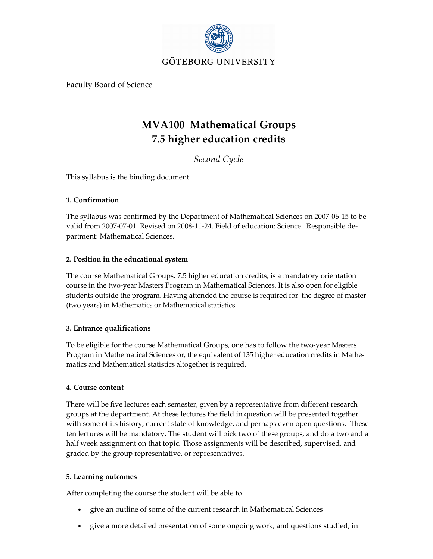

Faculty Board of Science

# MVA100 Mathematical Groups 7.5 higher education credits

Second Cycle

This syllabus is the binding document.

# 1. Confirmation

The syllabus was confirmed by the Department of Mathematical Sciences on 2007-06-15 to be valid from 2007-07-01. Revised on 2008-11-24. Field of education: Science. Responsible department: Mathematical Sciences.

## 2. Position in the educational system

The course Mathematical Groups, 7.5 higher education credits, is a mandatory orientation course in the two-year Masters Program in Mathematical Sciences. It is also open for eligible students outside the program. Having attended the course is required for the degree of master (two years) in Mathematics or Mathematical statistics.

## 3. Entrance qualifications

To be eligible for the course Mathematical Groups, one has to follow the two-year Masters Program in Mathematical Sciences or, the equivalent of 135 higher education credits in Mathematics and Mathematical statistics altogether is required.

## 4. Course content

There will be five lectures each semester, given by a representative from different research groups at the department. At these lectures the field in question will be presented together with some of its history, current state of knowledge, and perhaps even open questions. These ten lectures will be mandatory. The student will pick two of these groups, and do a two and a half week assignment on that topic. Those assignments will be described, supervised, and graded by the group representative, or representatives.

## 5. Learning outcomes

After completing the course the student will be able to

- give an outline of some of the current research in Mathematical Sciences
- give a more detailed presentation of some ongoing work, and questions studied, in